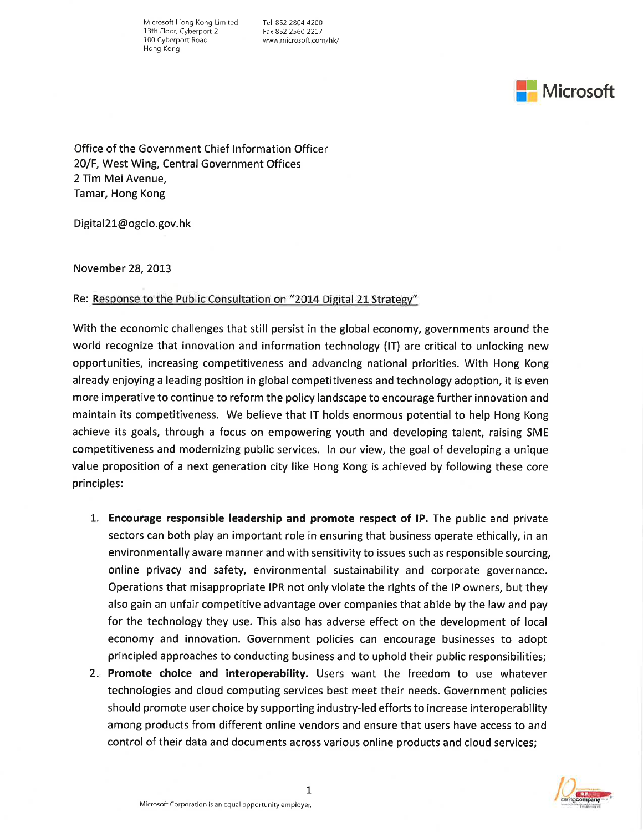Microsoft Hong Kong Limited Tel 852 2804 4200<br>13th Floor, Cyberport 2 Fax 852 2560 2217 13th Floor, Cyberport 2<br>100 Cyberport Road Hong Kong

www microsoft com/hk/



Office of the Government Chief lnformation Officer 20/F, West Wing, Central Government Offices 2 Tim Mei Avenue, Tamar, Hong Kong

Digital21@ogcio.gov.hk

November 28,2073

Re: Response to the Public Consultation on "2014 Digital 21 Strategy"

With the economic challenges that still persist in the global economy, governments around the world recognize that innovation and information technology (lT) are critical to unlocking new opportunities, increasing competitiveness and advancing national priorities. With Hong Kong already enjoying a leading position in global competitiveness and technology adoption, it is even more imperative to continue to reform the policy landscape to encourage further innovation and maintain its competitiveness. We believe that IT holds enormous potential to help Hong Kong achieve its goals, through a focus on empowering youth and developing talent, raising SME competitiveness and modernizing public services. ln our view, the goal of developing a unique value proposition of a next generation city like Hong Kong is achieved by following these core principles:

- 1. Encourage responsible leadership and promote respect of IP. The public and private sectors can both play an important role in ensuring that business operate ethically, in an environmentally aware manner and with sensitivity to issues such as responsible sourcing, online privacy and safety, environmental sustainability and corporate governance. Operations that misappropriate IPR not only violate the rights of the lP owners, but they also gain an unfair competitive advantage over companies that abide by the law and pay for the technology they use. This also has adverse effect on the development of local economy and innovation. Government policies can encourage businesses to adopt principled approaches to conducting business and to uphold their public responsibilities;
- 2. Promote choice and interoperability. Users want the freedom to use whatever technologies and cloud computing services best meet their needs. Government policies should promote user choice by supporting industry-led efforts to increase interoperability among products from different online vendors and ensure that users have access to and control of their data and documents across various online products and cloud services;

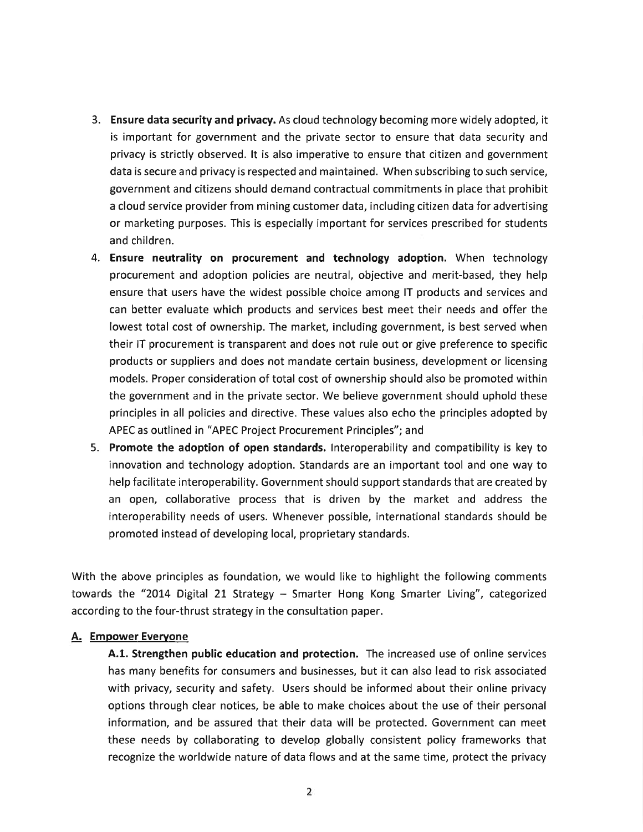- 3. Ensure data security and privacy. As cloud technology becoming more widely adopted, it is important for government and the private sector to ensure that data security and privacy is strictly observed. lt is also imperative to ensure that citizen and government data is secure and privacy is respected and maintained. When subscribing to such service, government and citizens should demand contractual commitments in place that prohibit a cloud service provider from mining customer data, including citizen data for advertising or marketing purposes. This is especially important for services prescribed for students and children.
- 4. Ensure neutrality on procurement and technology adoption. When technology procurement and adoption policies are neutral, objective and merit-based, they help ensure that users have the widest possible choice among lT products and services and can better evaluate which products and services best meet their needs and offer the lowest total cost of ownership. The market, including government, is best served when their lT procurement is transparent and does not rule out or give preference to specific products or suppliers and does not mandate certain business, development or licensing models. Proper consideration of total cost of ownership should also be promoted within the government and in the prívate sector. We believe government should uphold these principles in all policies and directive. These values also echo the principles adopted by APEC as outlined in "APEC Project Procurement Principles"; and
- 5. Promote the adoption of open standards. Interoperability and compatibility is key to innovation and technology adoption. Standards are an important tool and one way to help facilitate interoperability. Government should support standards that are created by an open, collaborative process that is driven by the market and address the interoperability needs of users. Whenever possible, international standards should be promoted instead of developing local, proprietary standards.

With the above principles as foundation, we would like to highlight the following comments towards the "20L4 Digital 21 Strategy - Smarter Hong Kong Smarter Living", categorized according to the four-thrust strategy in the consultation paper.

## A. Empower Everyone

A.1. Strengthen public education and protection. The increased use of online services has many benefits for consumers and businesses, but it can also lead to risk associated with privacy, security and safety. Users should be informed about their online privacy options through clear notices, be able to make choices about the use of their personal information, and be assured that their data will be protected. Government can meet these needs by collaborating to develop globally consistent policy frameworks that recognize the worldwide nature of data flows and at the same time, protect the privacy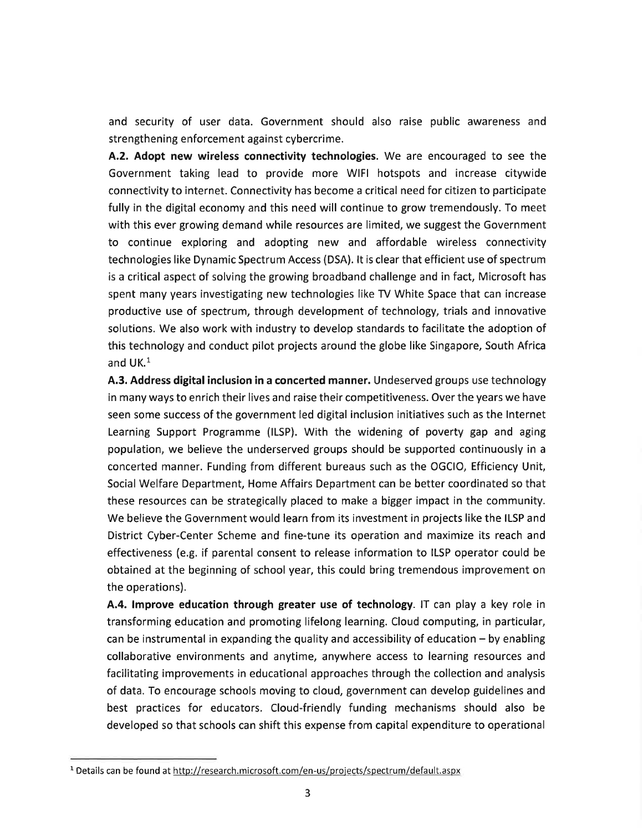and security of user data. Government should also raise public awareness and strengthening enforcement against cybercrime.

A.2. Adopt new wireless connectivity technologies. We are encouraged to see the Government taking lead to provide more WlFl hotspots and increase citywide connectivity to internet. Connectivity has become a critical need for citizen to participate fully in the digital economy and this need will continue to grow tremendously. To meet with this ever growing demand while resources are limited, we suggest the Government to continue exploring and adopting new and affordable wireless connectivity technologies like Dynamic Spectrum Access (DSA). lt is clear that efficient use of spectrum is a critical aspect of solving the growing broadband challenge and in fact, Microsoft has spent many years investigating new technologies like TV White Space that can increase productive use of spectrum, through development of technology, trials and innovative solutions. We also work with industry to develop standards to facilitate the adoption of this technology and conduct pilot projects around the globe like Singapore, South Africa and  $UK<sup>1</sup>$ 

4.3. Address digital inclusion in a concerted manner. Undeserved groups use technology in many ways to enrich their lives and raise their competitiveness. Over the years we have seen some success of the government led digital inclusion initiatives such as the lnternet Learning Support Programme (ILSP). With the widening of poverty gap and aging population, we believe the underserved groups should be supported continuously in a concerted manner. Funding from different bureaus such as the OGCIO, Efficiency Unit, Social Welfare Department, Home Affairs Department can be better coordinated so that these resources can be strategically placed to make a bigger impact in the community. We believe the Government would learn from its investment in projects like the ILSP and District Cyber-Center Scheme and fine-tune its operation and maximize its reach and effectiveness (e.g. if parental consent to release information to ILSP operator could be obtained at the beginning of school year, this could bring tremendous improvement on the operations).

4.4. lmprove education through greater use of technology. lT can play a key rofe in transforming education and promoting lifelong learning. Cloud computing, in particular, can be instrumental in expanding the quality and accessibility of education  $-$  by enabling collaborative environments and anytime, anywhere access to learning resources and facilitating improvements in educational approaches through the collection and analysis of data. To encourage schools moving to cloud, government can develop guidelines and best practices for educators. Cloud-friendly funding mechanisms should also be developed so that schools can shift this expense from capital expenditure to operational

<sup>&</sup>lt;sup>1</sup> Details can be found at http://research.microsoft.com/en-us/projects/spectrum/default.aspx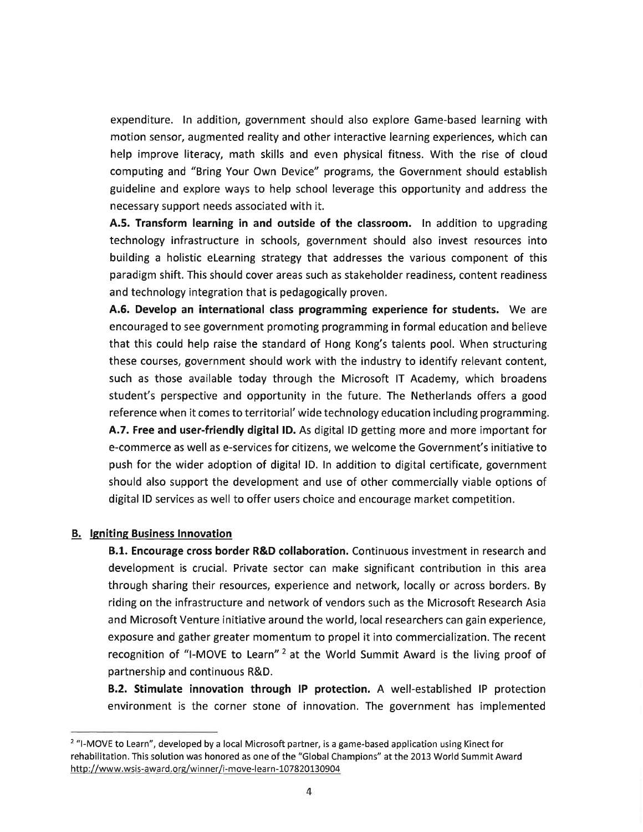expenditure. ln addition, government should also explore Game-based learning with motion sensor, augmented reality and other interactive learning experiences, which can help improve literacy, math skills and even physical fitness. With the rise of cloud computing and "Bring Your Own Device" programs, the Government should establish guideline and explore ways to help school leverage this opportunity and address the necessary support needs associated with it.

A.5. Transform learning in and outside of the classroom. In addition to upgrading technology infrastructure in schools, government should also invest resources into building a holistic eLearning strategy that addresses the various component of this paradigm shift. This should cover areas such as stakeholder readiness, content readiness and technology integration that is pedagogically proven.

4.6. Develop an international class programming experience for students. We are encouraged to see government promoting programming in formal education and believe that this could help raise the standard of Hong Kong's talents pool. When structuring these courses, government should work with the industry to identify relevant content, such as those available today through the Microsoft lT Academy, which broadens student's perspective and opportunity in the future. The Netherlands offers a good reference when it comes to territorial' wide technology education including programming. 4.7. Free and user-friendly digital lD. As digital lD getting more and more important for e-commerce as well as e-services for citizens, we welcome the Government's initiative to push for the wider adoption of digital lD. ln addition to digital certificate, government should also support the development and use of other commercially viable options of digital lD services as well to offer users choice and encourage market competition.

## B. Igniting Business lnnovation

8.1. Encourage cross border R&D collaboration. Continuous investment in research and development is crucial. Private sector can make significant contribution in this area through sharing their resources, experience and network, locally or across borders. By riding on the infrastructure and network of vendors such as the Microsoft Research Asia and Microsoft Venture initiative around the world, local researchers can gain experience, exposure and gather greater momentum to propel it into commercialization. The recent recognition of "I-MOVE to Learn"<sup>2</sup> at the World Summit Award is the living proof of partnership and continuous R&0.

B.2. Stimulate innovation through IP protection. A well-established IP protection environment is the corner stone of innovation. The government has implemented

<sup>&</sup>lt;sup>2</sup> "I-MOVE to Learn", developed by a local Microsoft partner, is a game-based application using Kinect for rehabilitation. This solution was honored as one of the "Global Champions" at the 2013 World Summit Award http://www.wsis-award.org/winner/i-move-learn-107820130904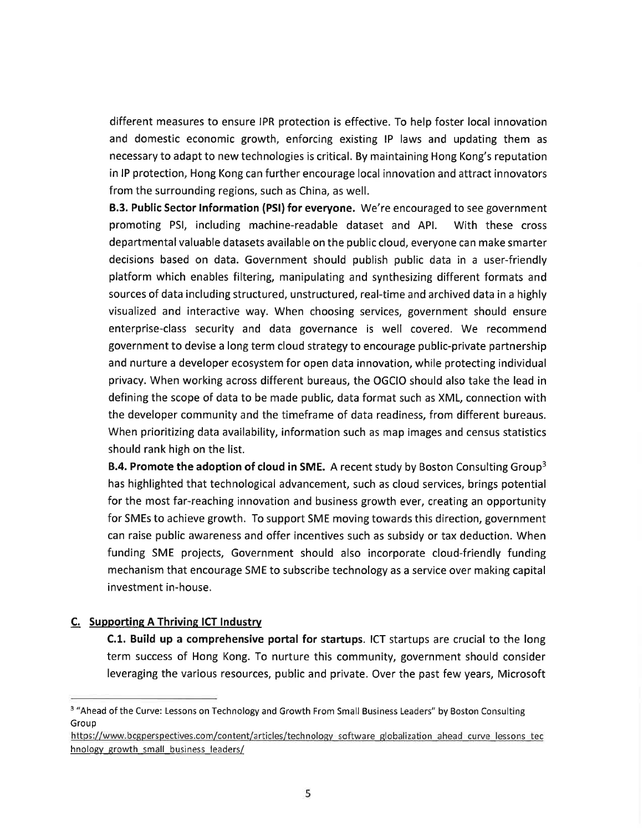different measures to ensure IPR protection is effective. To help foster local innovation and domestic economic growth, enforcing existing lP laws and updating them as necessary to adapt to new technologies is critical. By maintaining Hong Kong's reputation in lP protection, Hong Kong can further encourage local innovation and attract innovators from the surrounding regions, such as China, as well.

**B.3. Public Sector Information (PSI) for everyone.** We're encouraged to see government promoting PSl, including machine-readable dataset and APl. With these cross departmental valuable datasets available on the public cloud, everyone can make smarter decisions based on data. Government should publish public data in a user-friendly platform which enables filtering, manipulating and synthesizing different formats and sources of data including structured, unstructured, real-time and archived data in a highly visualized and interactive way. When choosing services, government should ensure enterprise-class security and data governance is well covered. We recommend government to devise a long term cloud strategy to encourage public-private partnership and nurture a developer ecosystem for open data innovation, while protecting individual privacy. When working across different bureaus, the OGCIO should also take the lead in defining the scope of data to be made public, data format such as XML, connection with the developer community and the timeframe of data readiness, from different bureaus. When prioritizing data availability, information such as map images and census statistics should rank high on the list.

**B.4. Promote the adoption of cloud in SME.** A recent study by Boston Consulting Group<sup>3</sup> has highlighted that technological advancement, such as cloud services, brings potential for the most far-reaching innovation and business growth ever, creating an opportunity for SMEs to achieve growth. To support SME moving towards this direction, government can raise public awareness and offer incentives such as subsidy or tax deduction. When funding SME projects, Government should also incorporate cloud-friendly funding mechanism that encourage SME to subscribe technology as a service over making capital investment in-house.

## C. Supporting A Thriving ICT lndustrv

C.1. Build up a comprehensive portal for startups. ICT startups are crucial to the long term success of Hong Kong. To nurture this community, government should consider leveraging the various resources, public and private. Over the past few years, Microsoft

<sup>&</sup>lt;sup>3</sup> "Ahead of the Curve: Lessons on Technology and Growth From Small Business Leaders" by Boston Consulting Group

https://www.bcgperspectives.com/content/articles/technology software globalization ahead curve lessons tec hnology growth small business leaders/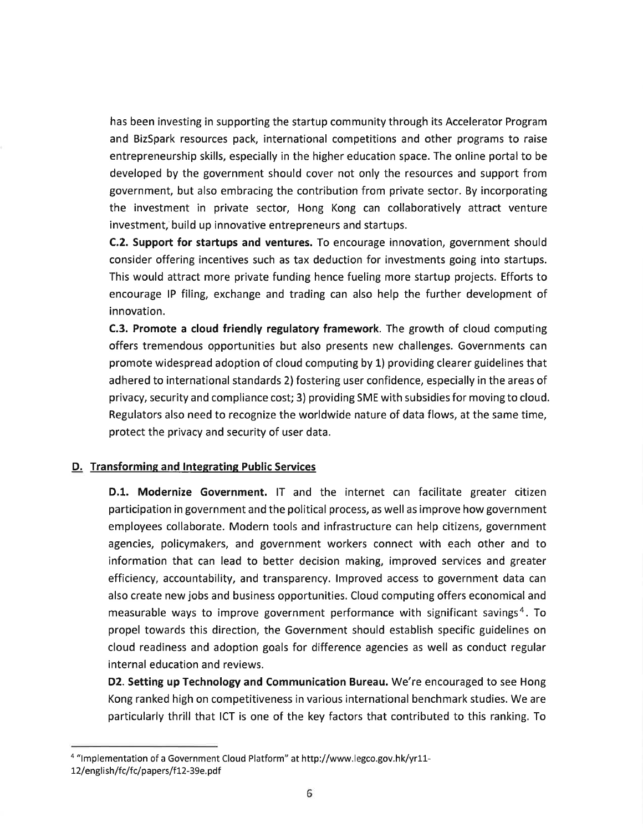has been investing in supporting the startup community through its Accelerator Program and BizSpark resources pack, international competitions and other programs to raise entrepreneurship skills, especially in the higher education space. The online portal to be developed by the government should cover not only the resources and support from government, but also embracing the contribution from private sector. By incorporating the investment in private sector, Hong Kong can collaboratively attract venture investment, build up innovative entrepreneurs and startups.

C.2. Support for startups and ventures. To encourage innovation, government should consider offering incentives such as tax deduction for investments going into startups. This would attract more private funding hence fueling more startup projects. Efforts to encourage lP filing, exchange and trading can also help the further development of innovation.

C.3. Promote a cloud friendly regulatory framework. The growth of cloud computing offers tremendous opportunities but also presents new challenges. Governments can promote widespread adoption of cloud computing by L) providing clearer guidelines that adhered to international standards 2) fostering user confidence, especially in the areas of privacy, security and compliance cost; 3) providing SME with subsidies for moving to cloud. Regulators also need to recognize the worldwide nature of data flows, at the same time, protect the privacy and security of user data.

## D. Transforming and Integrating Public Services

D.1. Modernize Government. lT and the internet can facilitate greater citizen participation in government and the political process, as well as improve how government employees collaborate. Modern tools and infrastructure can help citizens, government agencies, policymakers, and government workers connect with each other and to information that can lead to better decision making, improved services and greater efficiency, accountability, and transparency. lmproved access to government data can also create new jobs and business opportunities. Cloud computing offers economical and measurable ways to improve government performance with significant savings<sup>4</sup>. To propel towards this direction, the Government should establish specific guidelines on cloud readiness and adoption goals for difference agencies as well as conduct regular internal education and reviews.

D2. Setting up Technology and Communication Bureau. We're encouraged to see Hong Kong ranked high on competitiveness in various international benchmark studies. We are particularly thrill that ICT is one of the key factors that contributed to this ranking. To

<sup>4 &</sup>quot;lmplementation of a Government Cloud Platform" at http://www.legco.gov.hk/yr11-

<sup>12/</sup>english/fc/fc/papers/f12-39e.pdf